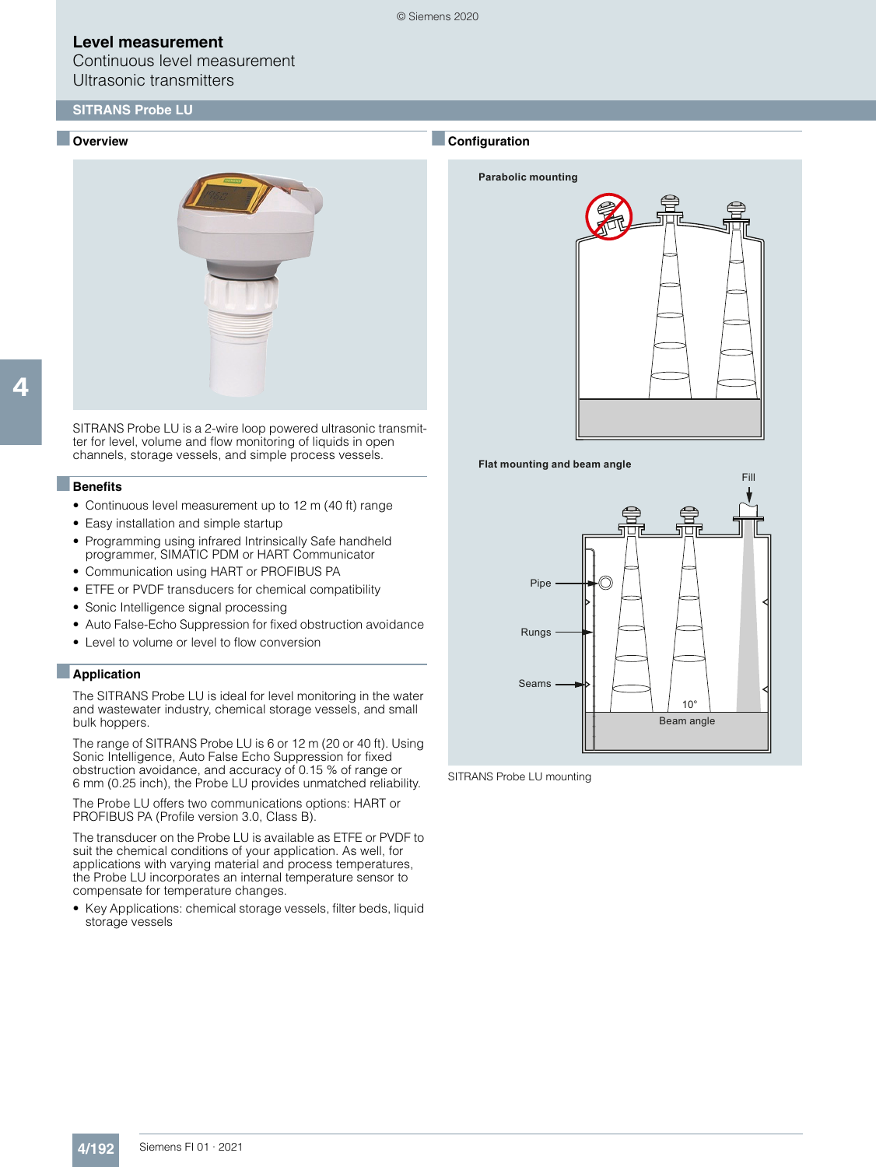Continuous level measurement Ultrasonic transmitters

### **SITRANS Probe LU**

#### ■ **Overview**



SITRANS Probe LU is a 2-wire loop powered ultrasonic transmitter for level, volume and flow monitoring of liquids in open channels, storage vessels, and simple process vessels.

#### ■**Benefits**

- Continuous level measurement up to 12 m (40 ft) range
- Easy installation and simple startup
- Programming using infrared Intrinsically Safe handheld programmer, SIMATIC PDM or HART Communicator
- Communication using HART or PROFIBUS PA
- ETFE or PVDF transducers for chemical compatibility
- Sonic Intelligence signal processing
- Auto False-Echo Suppression for fixed obstruction avoidance
- Level to volume or level to flow conversion

#### ■**Application**

The SITRANS Probe LU is ideal for level monitoring in the water and wastewater industry, chemical storage vessels, and small bulk hoppers.

The range of SITRANS Probe LU is 6 or 12 m (20 or 40 ft). Using Sonic Intelligence, Auto False Echo Suppression for fixed obstruction avoidance, and accuracy of 0.15 % of range or 6 mm (0.25 inch), the Probe LU provides unmatched reliability.

The Probe LU offers two communications options: HART or PROFIBUS PA (Profile version 3.0, Class B).

The transducer on the Probe LU is available as ETFE or PVDF to suit the chemical conditions of your application. As well, for applications with varying material and process temperatures, the Probe LU incorporates an internal temperature sensor to compensate for temperature changes.

• Key Applications: chemical storage vessels, filter beds, liquid storage vessels

#### ■**Configuration**

© Siemens 2020







SITRANS Probe LU mounting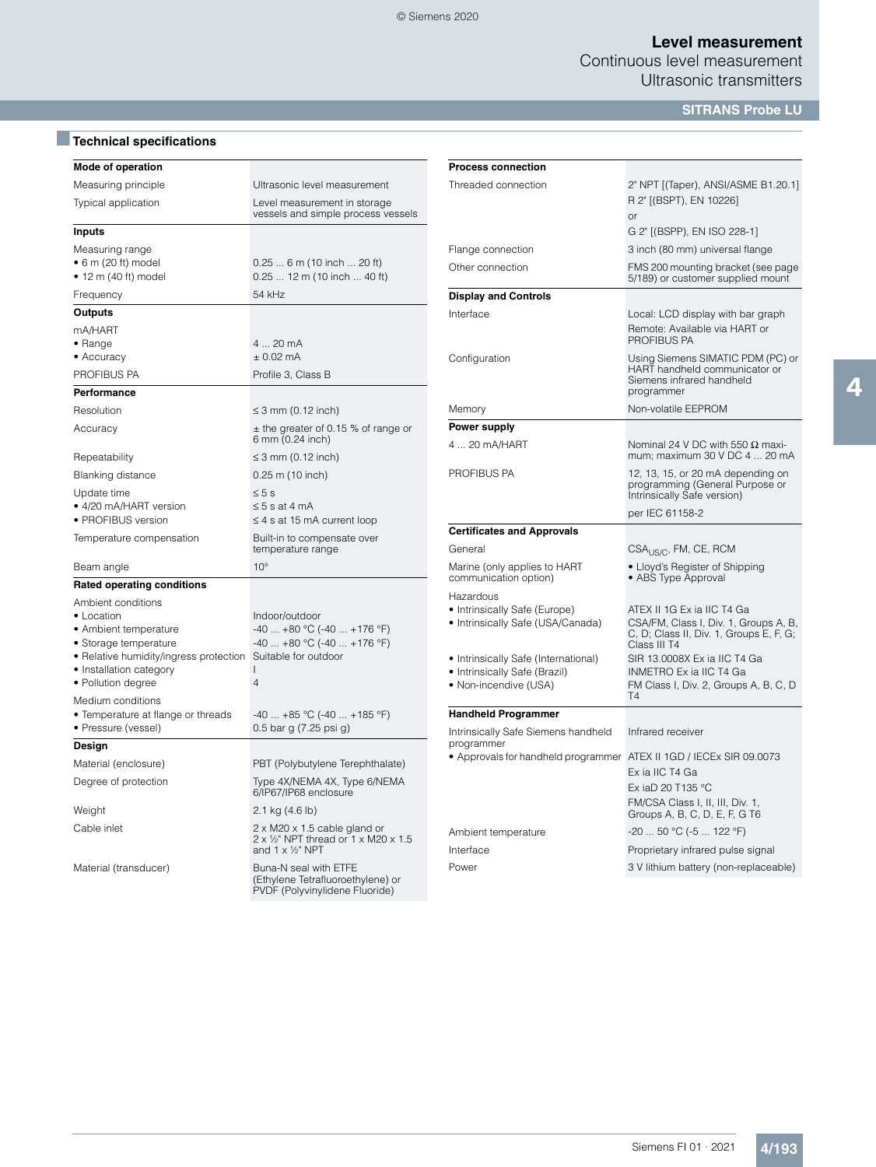Continuous level measurement Ultrasonic transmitters

**SITRANS Probe LU**

# ■**Technical specifications**

| Mode of operation                                                                                                                                                             |                                                                                                                            |
|-------------------------------------------------------------------------------------------------------------------------------------------------------------------------------|----------------------------------------------------------------------------------------------------------------------------|
| Measuring principle                                                                                                                                                           | Ultrasonic level measurement                                                                                               |
| Typical application                                                                                                                                                           | Level measurement in storage<br>vessels and simple process vessels                                                         |
| Inputs                                                                                                                                                                        |                                                                                                                            |
| Measuring range<br>$\bullet$ 6 m (20 ft) model<br>$\bullet$ 12 m (40 ft) model                                                                                                | $0.256$ m (10 inch  20 ft)<br>$0.2512$ m (10 inch  40 ft)                                                                  |
| Frequency                                                                                                                                                                     | 54 kHz                                                                                                                     |
| Outputs                                                                                                                                                                       |                                                                                                                            |
| mA/HART<br>• Range<br>• Accuracy                                                                                                                                              | 4  20 mA<br>$± 0.02$ mA                                                                                                    |
| PROFIBUS PA                                                                                                                                                                   | Profile 3, Class B                                                                                                         |
| Performance                                                                                                                                                                   |                                                                                                                            |
| Resolution                                                                                                                                                                    | $\leq$ 3 mm (0.12 inch)                                                                                                    |
| Accuracy                                                                                                                                                                      | $\pm$ the greater of 0.15 % of range or<br>6 mm (0.24 inch)                                                                |
| Repeatability                                                                                                                                                                 | $\leq$ 3 mm (0.12 inch)                                                                                                    |
| <b>Blanking distance</b>                                                                                                                                                      | $0.25$ m (10 inch)                                                                                                         |
| Update time<br>• 4/20 mA/HART version<br>· PROFIBUS version                                                                                                                   | $\leq 5$ s<br>$\leq$ 5 s at 4 mA<br>$\leq$ 4 s at 15 mA current loop                                                       |
| Temperature compensation                                                                                                                                                      | Built-in to compensate over<br>temperature range                                                                           |
| Beam angle                                                                                                                                                                    | $10^{\circ}$                                                                                                               |
| <b>Rated operating conditions</b>                                                                                                                                             |                                                                                                                            |
| Ambient conditions<br>• Location<br>• Ambient temperature<br>• Storage temperature<br>• Relative humidity/ingress protection<br>• Installation category<br>• Pollution degree | Indoor/outdoor<br>$-40$ $+80$ °C ( $-40$ $+176$ °F)<br>$-40$ $+80$ °C ( $-40$ $+176$ °F)<br>Suitable for outdoor<br>L<br>4 |
| Medium conditions<br>• Temperature at flange or threads<br>• Pressure (vessel)                                                                                                | $-40+85$ °C (-40  +185 °F)<br>0.5 bar g (7.25 psi g)                                                                       |
| Design                                                                                                                                                                        |                                                                                                                            |
| Material (enclosure)                                                                                                                                                          | PBT (Polybutylene Terephthalate)                                                                                           |
| Degree of protection                                                                                                                                                          | Type 4X/NEMA 4X, Type 6/NEMA<br>6/IP67/IP68 enclosure                                                                      |
| Weight                                                                                                                                                                        | 2.1 kg (4.6 lb)                                                                                                            |
| Cable inlet                                                                                                                                                                   | $2 \times M20 \times 1.5$ cable gland or<br>2 x 1/2" NPT thread or 1 x M20 x 1.5<br>and $1 \times \frac{1}{2}$ NPT         |
| Material (transducer)                                                                                                                                                         | Buna-N seal with ETFE<br>(Ethylene Tetrafluoroethylene) or<br>PVDF (Polyvinylidene Fluoride)                               |

| <b>Process connection</b>                                          |                                                                                                                                |  |  |
|--------------------------------------------------------------------|--------------------------------------------------------------------------------------------------------------------------------|--|--|
| Threaded connection                                                | 2" NPT [(Taper), ANSI/ASME B1.20.1]<br>R 2" [(BSPT), EN 10226]                                                                 |  |  |
|                                                                    | or                                                                                                                             |  |  |
|                                                                    | G 2" ((BSPP), EN ISO 228-1)                                                                                                    |  |  |
| Flange connection                                                  | 3 inch (80 mm) universal flange                                                                                                |  |  |
| Other connection                                                   | FMS 200 mounting bracket (see page<br>5/189) or customer supplied mount                                                        |  |  |
| <b>Display and Controls</b>                                        |                                                                                                                                |  |  |
| Interface                                                          | Local: LCD display with bar graph<br>Remote: Available via HART or<br><b>PROFIBUS PA</b>                                       |  |  |
| Configuration                                                      | Using Siemens SIMATIC PDM (PC) or<br>HART handheld communicator or<br>Siemens infrared handheld<br>programmer                  |  |  |
| Memory                                                             | Non-volatile EEPROM                                                                                                            |  |  |
| <b>Power supply</b>                                                |                                                                                                                                |  |  |
| 4  20 mA/HART                                                      | Nominal 24 V DC with 550 $\Omega$ maxi-<br>mum; maximum 30 V DC 4  20 mA                                                       |  |  |
| PROFIBUS PA                                                        | 12, 13, 15, or 20 mA depending on<br>programming (General Purpose or<br>Intrinsically Safe version)                            |  |  |
|                                                                    | per IEC 61158-2                                                                                                                |  |  |
| <b>Certificates and Approvals</b>                                  |                                                                                                                                |  |  |
| General                                                            | CSA <sub>US/C</sub> , FM, CE, RCM                                                                                              |  |  |
| Marine (only applies to HART<br>communication option)              | • Lloyd's Register of Shipping<br>• ABS Type Approval                                                                          |  |  |
| Hazardous                                                          |                                                                                                                                |  |  |
| • Intrinsically Safe (Europe)<br>• Intrinsically Safe (USA/Canada) | ATEX II 1G Ex ia IIC T4 Ga<br>CSA/FM, Class I, Div. 1, Groups A, B,<br>C, D; Class II, Div. 1, Groups E, F, G;<br>Class III T4 |  |  |
| • Intrinsically Safe (International)                               | SIR 13.0008X Ex ia IIC T4 Ga                                                                                                   |  |  |
| • Intrinsically Safe (Brazil)<br>• Non-incendive (USA)             | INMETRO Ex ia IIC T4 Ga<br>FM Class I, Div. 2, Groups A, B, C, D<br><b>T4</b>                                                  |  |  |
| <b>Handheld Programmer</b>                                         |                                                                                                                                |  |  |
| Intrinsically Safe Siemens handheld<br>programmer                  | Infrared receiver                                                                                                              |  |  |
| • Approvals for handheld programmer                                | ATEX II 1GD / IECEx SIR 09.0073<br>Ex ia IIC T4 Ga                                                                             |  |  |
|                                                                    | Ex iaD 20 T135 °C                                                                                                              |  |  |
|                                                                    | FM/CSA Class I, II, III, Div. 1,<br>Groups A, B, C, D, E, F, G T6                                                              |  |  |
| Ambient temperature                                                | -20  50 °C (-5  122 °F)                                                                                                        |  |  |
| Interface                                                          | Proprietary infrared pulse signal                                                                                              |  |  |
| Power                                                              | 3 V lithium battery (non-replaceable)                                                                                          |  |  |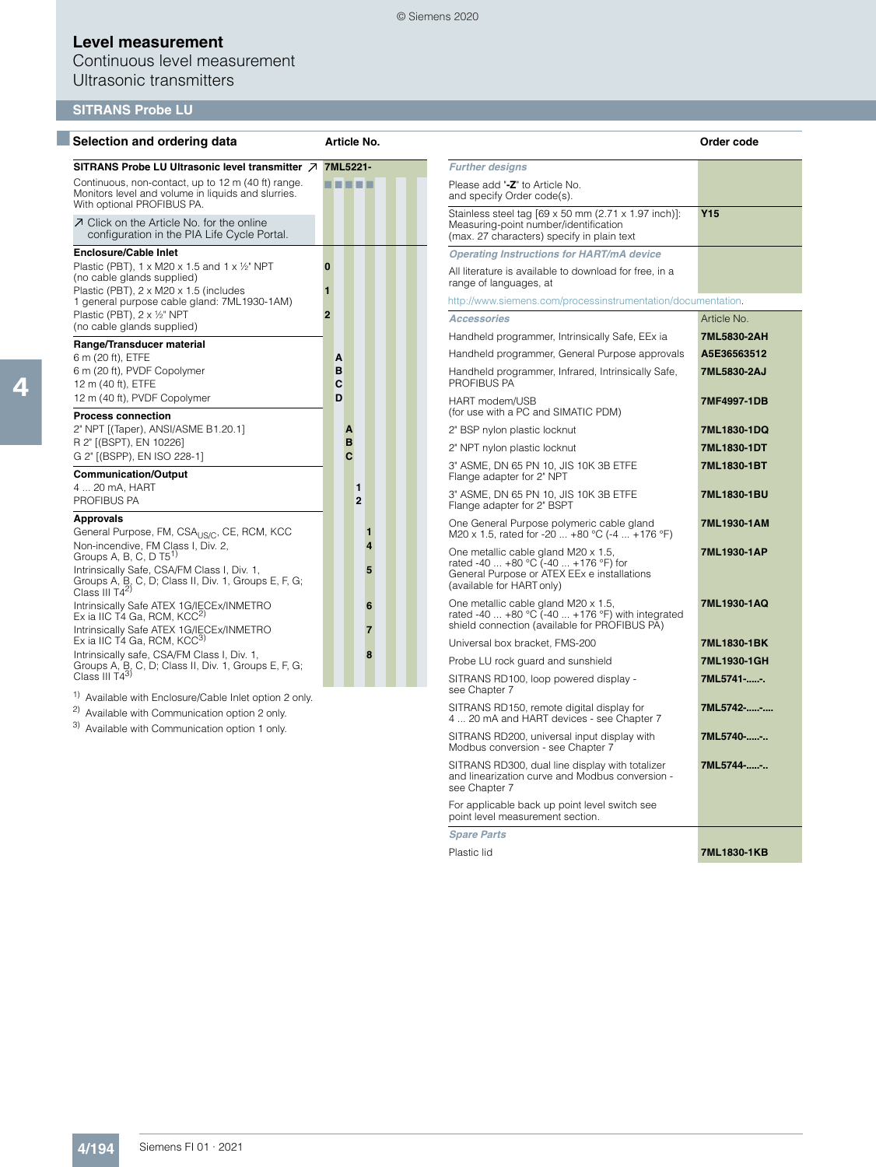Continuous level measurement Ultrasonic transmitters

| Selection and ordering data                                                                                                                                                                           | Article No.         |                     |                                                                                                                                                         | Order code  |
|-------------------------------------------------------------------------------------------------------------------------------------------------------------------------------------------------------|---------------------|---------------------|---------------------------------------------------------------------------------------------------------------------------------------------------------|-------------|
| SITRANS Probe LU Ultrasonic level transmitter 7                                                                                                                                                       | 7ML5221-            |                     | <b>Further designs</b>                                                                                                                                  |             |
| Continuous, non-contact, up to 12 m (40 ft) range.<br>Monitors level and volume in liquids and slurries.<br>With optional PROFIBUS PA.                                                                | T 1 1 1 1           |                     | Please add "-Z" to Article No.<br>and specify Order code(s).                                                                                            |             |
| ○ Click on the Article No. for the online<br>configuration in the PIA Life Cycle Portal.                                                                                                              |                     |                     | Stainless steel tag [69 x 50 mm (2.71 x 1.97 inch)]:<br>Measuring-point number/identification<br>(max. 27 characters) specify in plain text             | <b>Y15</b>  |
| <b>Enclosure/Cable Inlet</b>                                                                                                                                                                          |                     |                     | <b>Operating Instructions for HART/mA device</b>                                                                                                        |             |
| Plastic (PBT), 1 x M20 x 1.5 and 1 x 1/2" NPT<br>(no cable glands supplied)<br>Plastic (PBT), 2 x M20 x 1.5 (includes                                                                                 | $\bf{0}$<br>1       |                     | All literature is available to download for free, in a<br>range of languages, at                                                                        |             |
| 1 general purpose cable gland: 7ML1930-1AM)                                                                                                                                                           |                     |                     | http://www.siemens.com/processinstrumentation/documentation.                                                                                            |             |
| Plastic (PBT), 2 x 1/2" NPT<br>(no cable glands supplied)                                                                                                                                             | $\overline{2}$      |                     | <b>Accessories</b>                                                                                                                                      | Article No. |
|                                                                                                                                                                                                       |                     |                     | Handheld programmer, Intrinsically Safe, EEx ia                                                                                                         | 7ML5830-2AH |
| Range/Transducer material<br>6 m (20 ft), ETFE                                                                                                                                                        | A                   |                     | Handheld programmer, General Purpose approvals                                                                                                          | A5E36563512 |
| 6 m (20 ft), PVDF Copolymer<br>12 m (40 ft), ETFE                                                                                                                                                     | B<br>C              |                     | Handheld programmer, Infrared, Intrinsically Safe,<br>PROFIBUS PA                                                                                       | 7ML5830-2AJ |
| 12 m (40 ft), PVDF Copolymer<br><b>Process connection</b>                                                                                                                                             | D                   |                     | HART modem/USB<br>(for use with a PC and SIMATIC PDM)                                                                                                   | 7MF4997-1DB |
| 2" NPT [(Taper), ANSI/ASME B1.20.1]                                                                                                                                                                   | A                   |                     | 2" BSP nylon plastic locknut                                                                                                                            | 7ML1830-1DQ |
| R 2" [(BSPT), EN 10226]                                                                                                                                                                               | B<br>$\mathbf{c}$   |                     | 2" NPT nylon plastic locknut                                                                                                                            | 7ML1830-1DT |
| G 2" [(BSPP), EN ISO 228-1]<br><b>Communication/Output</b>                                                                                                                                            |                     |                     | 3" ASME, DN 65 PN 10, JIS 10K 3B ETFE<br>Flange adapter for 2" NPT                                                                                      | 7ML1830-1BT |
| 4  20 mA, HART<br>PROFIBUS PA                                                                                                                                                                         | 1<br>$\overline{2}$ |                     | 3" ASME, DN 65 PN 10, JIS 10K 3B ETFE<br>Flange adapter for 2" BSPT                                                                                     | 7ML1830-1BU |
| <b>Approvals</b><br>General Purpose, FM, CSA <sub>US/C</sub> , CE, RCM, KCC                                                                                                                           |                     | $\blacksquare$      | One General Purpose polymeric cable gland<br>M20 x 1.5, rated for -20  +80 °C (-4  +176 °F)                                                             | 7ML1930-1AM |
| Non-incendive, FM Class I, Div. 2,<br>Groups A, B, C, D $T5^{1}$<br>Intrinsically Safe, CSA/FM Class I, Div. 1,<br>Groups A, B, C, D; Class II, Div. 1, Groups E, F, G;<br>Class III T4 <sup>2)</sup> |                     | $\overline{4}$<br>5 | One metallic cable gland M20 x 1.5,<br>rated -40  +80 °C (-40  +176 °F) for<br>General Purpose or ATEX EEx e installations<br>(available for HART only) | 7ML1930-1AP |
| Intrinsically Safe ATEX 1G/IECEx/INMETRO<br>Ex ia IIC T4 Ga, RCM, KCC <sup>2)</sup><br>Intrinsically Safe ATEX 1G/IECEx/INMETRO                                                                       |                     | 6<br>$\overline{7}$ | One metallic cable gland M20 x 1.5,<br>rated -40 $\dots$ +80 °C (-40 $\dots$ +176 °F) with integrated<br>shield connection (available for PROFIBUS PA)  | 7ML1930-1AQ |
| Ex ia IIC T4 Ga, RCM, KCC <sup>3)</sup>                                                                                                                                                               |                     |                     | Universal box bracket, FMS-200                                                                                                                          | 7ML1830-1BK |
| Intrinsically safe, CSA/FM Class I, Div. 1,<br>Groups A, B, C, D; Class II, Div. 1, Groups E, F, G;                                                                                                   |                     | $\mathbf{a}$        | Probe LU rock guard and sunshield                                                                                                                       | 7ML1930-1GH |
| Class III T43)<br><sup>1)</sup> Available with Enclosure/Cable Inlet option 2 only.                                                                                                                   |                     |                     | SITRANS RD100, loop powered display -<br>see Chapter 7                                                                                                  | 7ML5741--.  |
| <sup>2)</sup> Available with Communication option 2 only.                                                                                                                                             |                     |                     | SITRANS RD150, remote digital display for<br>4  20 mA and HART devices - see Chapter 7                                                                  | 7ML5742--   |
| <sup>3)</sup> Available with Communication option 1 only.                                                                                                                                             |                     |                     | SITRANS RD200, universal input display with<br>Modbus conversion - see Chapter 7                                                                        | 7ML5740--   |
|                                                                                                                                                                                                       |                     |                     | SITRANS RD300, dual line display with totalizer<br>and linearization curve and Modbus conversion -<br>see Chapter 7                                     | 7ML5744--   |
|                                                                                                                                                                                                       |                     |                     | en and the state of the state of the state of the state of the state of the state of the state of the state of                                          |             |

For applicable back up point level switch see point level measurement section.

*Spare Parts*

Plastic lid **7ML1830-1KB**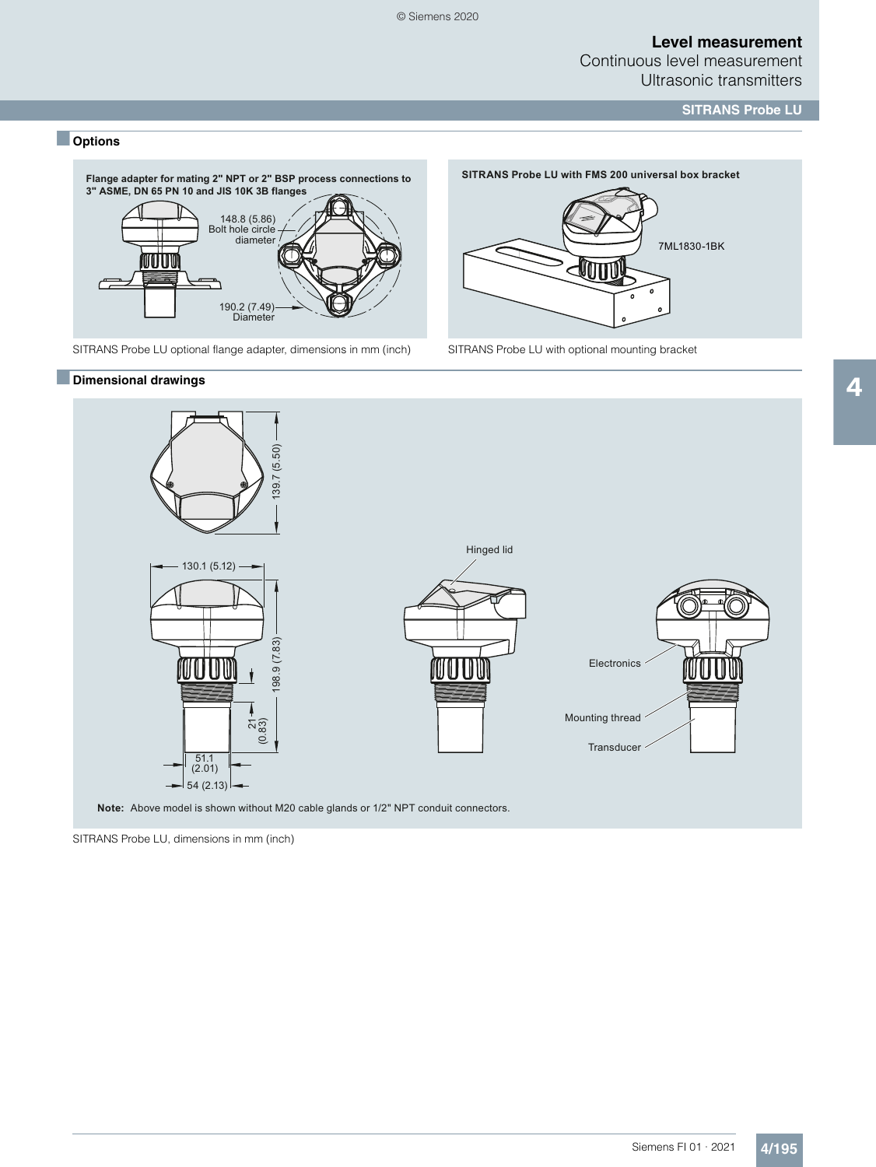Continuous level measurement Ultrasonic transmitters

7ML1830-1BK

 $\mathbf{o}$ 

**SITRANS Probe LU with FMS 200 universal box bracket** 

**JANTINI** 

**SITRANS Probe LU**

### ■ **Options**



SITRANS Probe LU optional flange adapter, dimensions in mm (inch) SITRANS Probe LU with optional mounting bracket

#### ■**Dimensional drawings**



SITRANS Probe LU, dimensions in mm (inch)